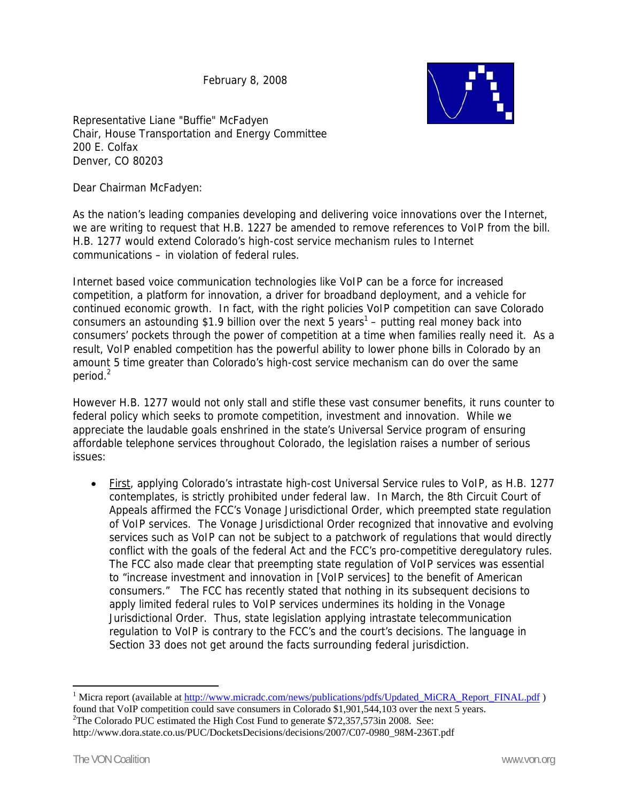February 8, 2008



Representative Liane "Buffie" McFadyen Chair, House Transportation and Energy Committee 200 E. Colfax Denver, CO 80203

Dear Chairman McFadyen:

As the nation's leading companies developing and delivering voice innovations over the Internet, we are writing to request that H.B. 1227 be amended to remove references to VoIP from the bill. H.B. 1277 would extend Colorado's high-cost service mechanism rules to Internet communications – in violation of federal rules.

Internet based voice communication technologies like VoIP can be a force for increased competition, a platform for innovation, a driver for broadband deployment, and a vehicle for continued economic growth. In fact, with the right policies VoIP competition can save Colorado consumers an astounding \$1.9 billion over the next 5 years<sup>1</sup> – putting real money back into consumers' pockets through the power of competition at a time when families really need it. As a result, VoIP enabled competition has the powerful ability to lower phone bills in Colorado by an amount 5 time greater than Colorado's high-cost service mechanism can do over the same period.<sup>2</sup>

However H.B. 1277 would not only stall and stifle these vast consumer benefits, it runs counter to federal policy which seeks to promote competition, investment and innovation. While we appreciate the laudable goals enshrined in the state's Universal Service program of ensuring affordable telephone services throughout Colorado, the legislation raises a number of serious issues:

• First, applying Colorado's intrastate high-cost Universal Service rules to VoIP, as H.B. 1277 contemplates, is strictly prohibited under federal law. In March, the 8th Circuit Court of Appeals affirmed the FCC's Vonage Jurisdictional Order, which preempted state regulation of VoIP services. The Vonage Jurisdictional Order recognized that innovative and evolving services such as VoIP can not be subject to a patchwork of regulations that would directly conflict with the goals of the federal Act and the FCC's pro-competitive deregulatory rules. The FCC also made clear that preempting state regulation of VoIP services was essential to "increase investment and innovation in [VoIP services] to the benefit of American consumers." The FCC has recently stated that nothing in its subsequent decisions to apply limited federal rules to VoIP services undermines its holding in the Vonage Jurisdictional Order. Thus, state legislation applying intrastate telecommunication regulation to VoIP is contrary to the FCC's and the court's decisions. The language in Section 33 does not get around the facts surrounding federal jurisdiction.

 $\overline{a}$ 

<sup>&</sup>lt;sup>1</sup> Micra report (available at http://www.micradc.com/news/publications/pdfs/Updated\_MiCRA\_Report\_FINAL.pdf ) found that VoIP competition could save consumers in Colorado \$1,901,544,103 over the next 5 years. 2 <sup>2</sup>The Colorado PUC estimated the High Cost Fund to generate  $$72,357,573$ in 2008. See: http://www.dora.state.co.us/PUC/DocketsDecisions/decisions/2007/C07-0980\_98M-236T.pdf